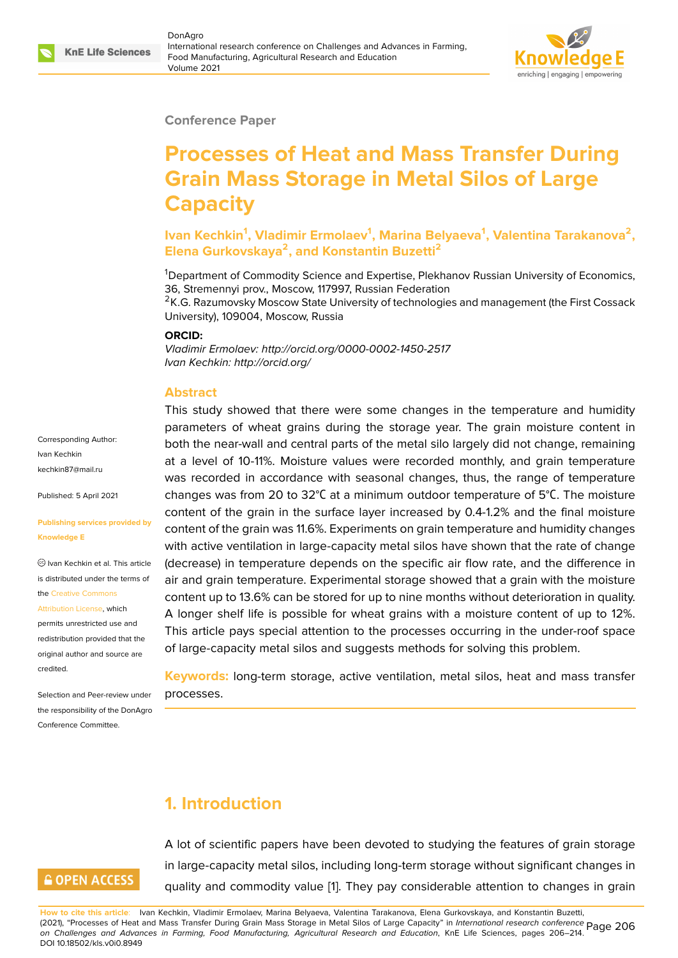

#### **Conference Paper**

# **Processes of Heat and Mass Transfer During Grain Mass Storage in Metal Silos of Large Capacity**

**Ivan Kechkin<sup>1</sup> , Vladimir Ermolaev<sup>1</sup> , Marina Belyaeva<sup>1</sup> , Valentina Tarakanova<sup>2</sup> , Elena Gurkovskaya<sup>2</sup> , and Konstantin Buzetti<sup>2</sup>**

<sup>1</sup>Department of Commodity Science and Expertise, Plekhanov Russian University of Economics, 36, Stremennyi prov., Moscow, 117997, Russian Federation

<sup>2</sup>K.G. Razumovsky Moscow State University of technologies and management (the First Cossack University), 109004, Moscow, Russia

This study showed that there were some changes in the temperature and humidity

#### **ORCID:**

*Vladimir Ermolaev: http://orcid.org/0000-0002-1450-2517 Ivan Kechkin: http://orcid.org/*

#### **Abstract**

parameters of wheat grains during the storage year. The grain moisture content in both the near-wall and central parts of the metal silo largely did not change, remaining at a level of 10-11%. Moisture values were recorded monthly, and grain temperature was recorded in accordance with seasonal changes, thus, the range of temperature changes was from 20 to 32°С at a minimum outdoor temperature of 5°С. The moisture content of the grain in the surface layer increased by 0.4-1.2% and the final moisture content of the grain was 11.6%. Experiments on grain temperature and humidity changes with active ventilation in large-capacity metal silos have shown that the rate of change (decrease) in temperature depends on the specific air flow rate, and the difference in air and grain temperature. Experimental storage showed that a grain with the moisture content up to 13.6% can be stored for up to nine months without deterioration in quality. A longer shelf life is possible for wheat grains with a moisture content of up to 12%. This article pays special attention to the processes occurring in the under-roof space of large-capacity metal silos and suggests methods for solving this problem. **[Publishing service](mailto:kechkin87@mail.ru)s provided by** Ivan Kechkin et al. This article is distributed under the terms of redistribution provided that the

> **Keywords:** long-term storage, active ventilation, metal silos, heat and mass transfer processes.

### **1. Introduction**

# **GOPEN ACCESS**

Corresponding Author: Ivan Kechkin kechkin87@mail.ru

Published: 5 April 2021

the Creative Commons Attribution License, which permits unrestricted use and

orig[inal author and sou](https://creativecommons.org/licenses/by/4.0/)rce are

Selection and Peer-review under the responsibility of the DonAgro Conference Committee.

**Knowledge E**

[credited.](https://creativecommons.org/licenses/by/4.0/)

A lot of scientific papers have been devoted to studying the features of grain storage in large-capacity metal silos, including long-term storage without significant changes in quality and commodity value [1]. They pay considerable attention to changes in grain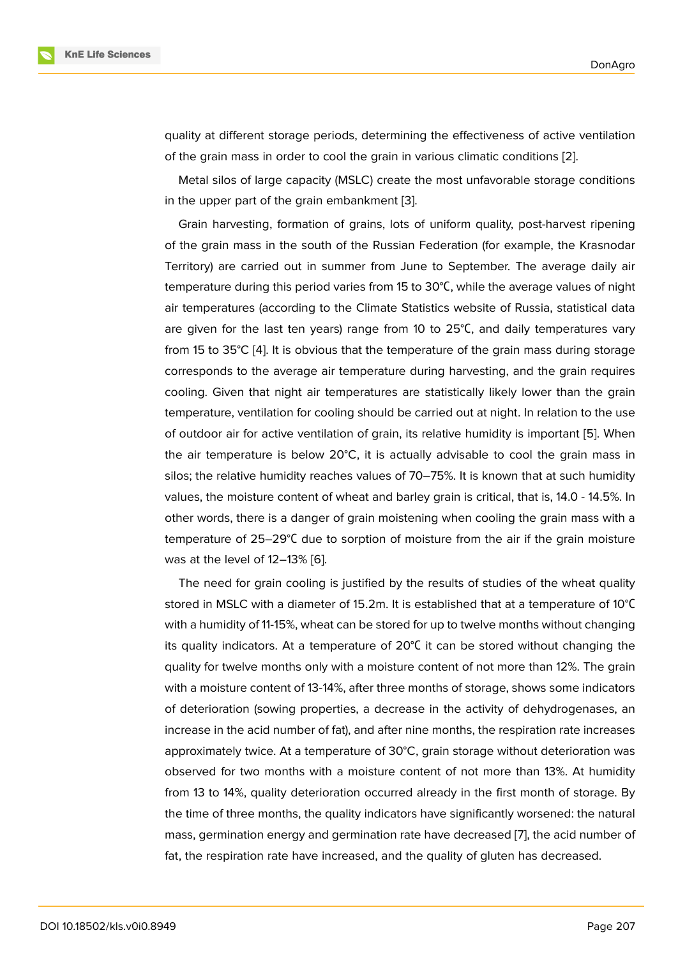quality at different storage periods, determining the effectiveness of active ventilation of the grain mass in order to cool the grain in various climatic conditions [2].

Metal silos of large capacity (MSLC) create the most unfavorable storage conditions in the upper part of the grain embankment [3].

Grain harvesting, formation of grains, lots of uniform quality, post-har[ve](#page-7-0)st ripening of the grain mass in the south of the Russian Federation (for example, the Krasnodar Territory) are carried out in summer from [Ju](#page-7-1)ne to September. The average daily air temperature during this period varies from 15 to 30°С, while the average values of night air temperatures (according to the Climate Statistics website of Russia, statistical data are given for the last ten years) range from 10 to 25°С, and daily temperatures vary from 15 to 35°C [4]. It is obvious that the temperature of the grain mass during storage corresponds to the average air temperature during harvesting, and the grain requires cooling. Given that night air temperatures are statistically likely lower than the grain temperature, ve[nti](#page-7-2)lation for cooling should be carried out at night. In relation to the use of outdoor air for active ventilation of grain, its relative humidity is important [5]. When the air temperature is below  $20^{\circ}$ C, it is actually advisable to cool the grain mass in silos; the relative humidity reaches values of 70–75%. It is known that at such humidity values, the moisture content of wheat and barley grain is critical, that is, 14.0 - [14](#page-7-3).5%. In other words, there is a danger of grain moistening when cooling the grain mass with a temperature of 25–29°С due to sorption of moisture from the air if the grain moisture was at the level of 12–13% [6].

The need for grain cooling is justified by the results of studies of the wheat quality stored in MSLC with a diameter of 15.2m. It is established that at a temperature of 10°С with a humidity of 11-15%, w[he](#page-7-4)at can be stored for up to twelve months without changing its quality indicators. At a temperature of 20°С it can be stored without changing the quality for twelve months only with a moisture content of not more than 12%. The grain with a moisture content of 13-14%, after three months of storage, shows some indicators of deterioration (sowing properties, a decrease in the activity of dehydrogenases, an increase in the acid number of fat), and after nine months, the respiration rate increases approximately twice. At a temperature of 30°C, grain storage without deterioration was observed for two months with a moisture content of not more than 13%. At humidity from 13 to 14%, quality deterioration occurred already in the first month of storage. By the time of three months, the quality indicators have significantly worsened: the natural mass, germination energy and germination rate have decreased [7], the acid number of fat, the respiration rate have increased, and the quality of gluten has decreased.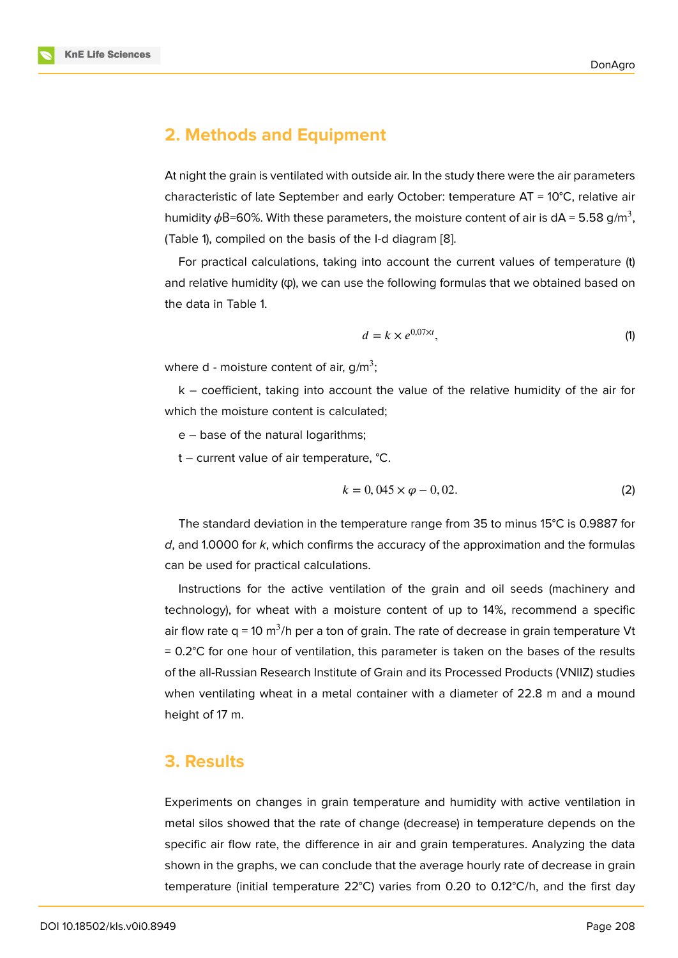### **2. Methods and Equipment**

At night the grain is ventilated with outside air. In the study there were the air parameters characteristic of late September and early October: temperature  $AT = 10^{\circ}C$ , relative air humidity  $\phi$ B=60%. With these parameters, the moisture content of air is dA = 5.58 g/m<sup>3</sup>, (Table 1), compiled on the basis of the I-d diagram [8].

For practical calculations, taking into account the current values of temperature (t) and relative humidity (φ), we can use the following formulas that we obtained based on the data in Table 1.

$$
d = k \times e^{0.07 \times t}, \tag{1}
$$

where d - moisture content of air, g/m<sup>3</sup>;

k – coefficient, taking into account the value of the relative humidity of the air for which the moisture content is calculated;

e – base of the natural logarithms;

t – current value of air temperature, °C.

$$
k = 0,045 \times \varphi - 0,02.
$$
 (2)

The standard deviation in the temperature range from 35 to minus 15°C is 0.9887 for *d*, and 1.0000 for *k*, which confirms the accuracy of the approximation and the formulas can be used for practical calculations.

Instructions for the active ventilation of the grain and oil seeds (machinery and technology), for wheat with a moisture content of up to 14%, recommend a specific air flow rate q = 10 m $^3$ /h per a ton of grain. The rate of decrease in grain temperature Vt  $= 0.2$ °C for one hour of ventilation, this parameter is taken on the bases of the results of the all-Russian Research Institute of Grain and its Processed Products (VNIIZ) studies when ventilating wheat in a metal container with a diameter of 22.8 m and a mound height of 17 m.

### **3. Results**

Experiments on changes in grain temperature and humidity with active ventilation in metal silos showed that the rate of change (decrease) in temperature depends on the specific air flow rate, the difference in air and grain temperatures. Analyzing the data shown in the graphs, we can conclude that the average hourly rate of decrease in grain temperature (initial temperature 22°C) varies from 0.20 to 0.12°C/h, and the first day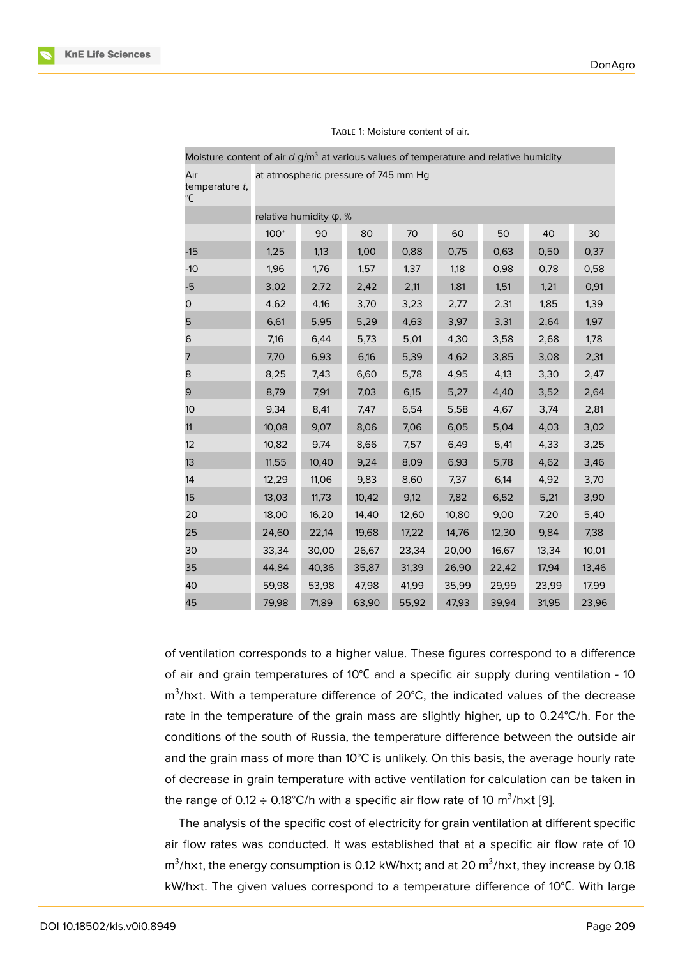| Air<br>temperature t,<br>°C | at atmospheric pressure of 745 mm Hg |       |       |       |       |       |       |       |
|-----------------------------|--------------------------------------|-------|-------|-------|-------|-------|-------|-------|
|                             | relative humidity φ, %               |       |       |       |       |       |       |       |
|                             | $100*$                               | 90    | 80    | 70    | 60    | 50    | 40    | 30    |
| $-15$                       | 1,25                                 | 1,13  | 1,00  | 0,88  | 0,75  | 0,63  | 0,50  | 0,37  |
| $-10$                       | 1,96                                 | 1,76  | 1,57  | 1,37  | 1,18  | 0,98  | 0,78  | 0,58  |
| -5                          | 3,02                                 | 2,72  | 2,42  | 2,11  | 1,81  | 1,51  | 1,21  | 0,91  |
| 0                           | 4,62                                 | 4,16  | 3,70  | 3,23  | 2,77  | 2,31  | 1,85  | 1,39  |
| 5                           | 6,61                                 | 5,95  | 5,29  | 4,63  | 3,97  | 3,31  | 2,64  | 1,97  |
| 6                           | 7,16                                 | 6,44  | 5,73  | 5,01  | 4,30  | 3,58  | 2,68  | 1,78  |
| 7                           | 7,70                                 | 6,93  | 6,16  | 5,39  | 4,62  | 3,85  | 3,08  | 2,31  |
| 8                           | 8,25                                 | 7,43  | 6,60  | 5,78  | 4,95  | 4,13  | 3,30  | 2,47  |
| 9                           | 8,79                                 | 7,91  | 7,03  | 6,15  | 5,27  | 4,40  | 3,52  | 2,64  |
| 10                          | 9,34                                 | 8,41  | 7,47  | 6,54  | 5,58  | 4,67  | 3,74  | 2,81  |
| 11                          | 10,08                                | 9,07  | 8,06  | 7,06  | 6,05  | 5,04  | 4,03  | 3,02  |
| 12                          | 10,82                                | 9,74  | 8,66  | 7,57  | 6,49  | 5,41  | 4,33  | 3,25  |
| 13                          | 11,55                                | 10,40 | 9,24  | 8,09  | 6,93  | 5,78  | 4,62  | 3,46  |
| 14                          | 12,29                                | 11,06 | 9,83  | 8,60  | 7,37  | 6,14  | 4,92  | 3,70  |
| 15                          | 13,03                                | 11,73 | 10,42 | 9,12  | 7,82  | 6,52  | 5,21  | 3,90  |
| 20                          | 18,00                                | 16,20 | 14,40 | 12,60 | 10,80 | 9,00  | 7,20  | 5,40  |
| 25                          | 24,60                                | 22,14 | 19,68 | 17,22 | 14,76 | 12,30 | 9,84  | 7,38  |
| 30                          | 33,34                                | 30,00 | 26,67 | 23,34 | 20,00 | 16,67 | 13,34 | 10,01 |
| 35                          | 44,84                                | 40,36 | 35,87 | 31,39 | 26,90 | 22,42 | 17,94 | 13,46 |
| 40                          | 59,98                                | 53,98 | 47,98 | 41,99 | 35,99 | 29,99 | 23,99 | 17,99 |
| 45                          | 79,98                                | 71,89 | 63,90 | 55,92 | 47,93 | 39,94 | 31,95 | 23,96 |

TABLE 1: Moisture content of air.

Moisture content of air *d* g/m<sup>3</sup> at various values of temperature and relative humidity

of ventilation corresponds to a higher value. These figures correspond to a difference of air and grain temperatures of 10°C and a specific air supply during ventilation - 10  $m^3$ /hxt. With a temperature difference of 20°C, the indicated values of the decrease rate in the temperature of the grain mass are slightly higher, up to 0.24°C/h. For the conditions of the south of Russia, the temperature difference between the outside air and the grain mass of more than 10°C is unlikely. On this basis, the average hourly rate of decrease in grain temperature with active ventilation for calculation can be taken in the range of 0.12  $\div$  0.18°C/h with a specific air flow rate of 10 m $^3$ /h $\times$ t [9].

The analysis of the specific cost of electricity for grain ventilation at different specific air flow rates was conducted. It was established that at a specific air flow rate of 10 m $^3$ /hxt, the energy consumption is 0.12 kW/hxt; and at 20 m $^3$ /hxt, the[y i](#page-7-5)ncrease by 0.18 kW/h×t. The given values correspond to a temperature difference of 10°С. With large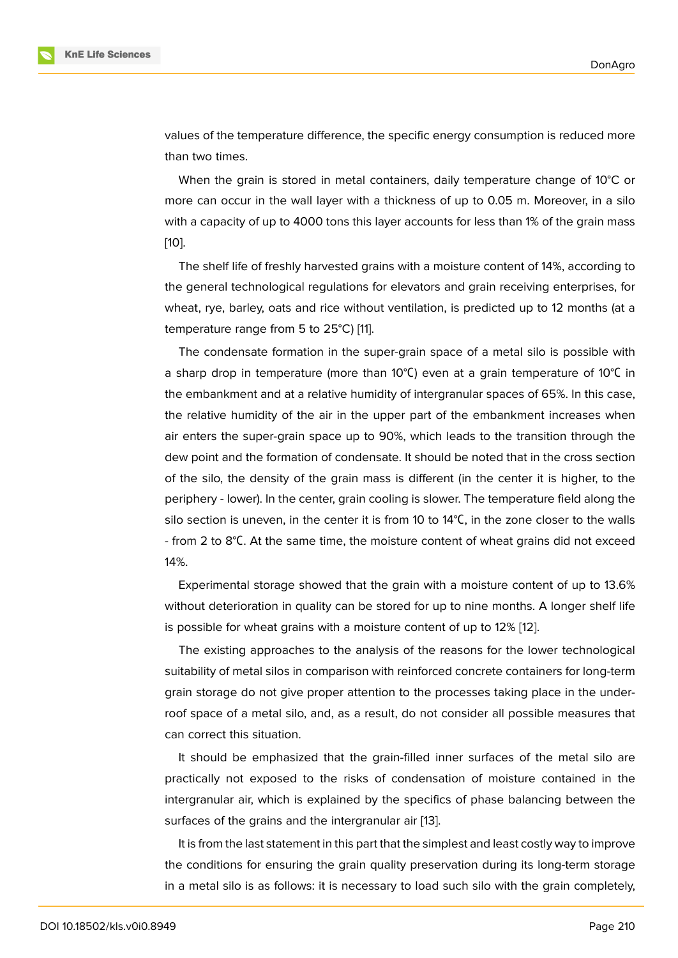values of the temperature difference, the specific energy consumption is reduced more than two times.

When the grain is stored in metal containers, daily temperature change of 10 $\degree$ C or more can occur in the wall layer with a thickness of up to 0.05 m. Moreover, in a silo with a capacity of up to 4000 tons this layer accounts for less than 1% of the grain mass [10].

The shelf life of freshly harvested grains with a moisture content of 14%, according to the general technological regulations for elevators and grain receiving enterprises, for [wh](#page-7-6)eat, rye, barley, oats and rice without ventilation, is predicted up to 12 months (at a temperature range from 5 to 25°C) [11].

The condensate formation in the super-grain space of a metal silo is possible with a sharp drop in temperature (more than 10°С) even at a grain temperature of 10°С in the embankment and at a relative humidity of intergranular spaces of 65%. In this case, the relative humidity of the air in the upper part of the embankment increases when air enters the super-grain space up to 90%, which leads to the transition through the dew point and the formation of condensate. It should be noted that in the cross section of the silo, the density of the grain mass is different (in the center it is higher, to the periphery - lower). In the center, grain cooling is slower. The temperature field along the silo section is uneven, in the center it is from 10 to 14°C, in the zone closer to the walls - from 2 to 8°С. At the same time, the moisture content of wheat grains did not exceed 14%.

Experimental storage showed that the grain with a moisture content of up to 13.6% without deterioration in quality can be stored for up to nine months. A longer shelf life is possible for wheat grains with a moisture content of up to 12% [12].

The existing approaches to the analysis of the reasons for the lower technological suitability of metal silos in comparison with reinforced concrete containers for long-term grain storage do not give proper attention to the processes takin[g p](#page-7-7)lace in the underroof space of a metal silo, and, as a result, do not consider all possible measures that can correct this situation.

It should be emphasized that the grain-filled inner surfaces of the metal silo are practically not exposed to the risks of condensation of moisture contained in the intergranular air, which is explained by the specifics of phase balancing between the surfaces of the grains and the intergranular air [13].

It is from the last statement in this part that the simplest and least costly way to improve the conditions for ensuring the grain quality preservation during its long-term storage in a metal silo is as follows: it is necessary to l[oad](#page-7-8) such silo with the grain completely,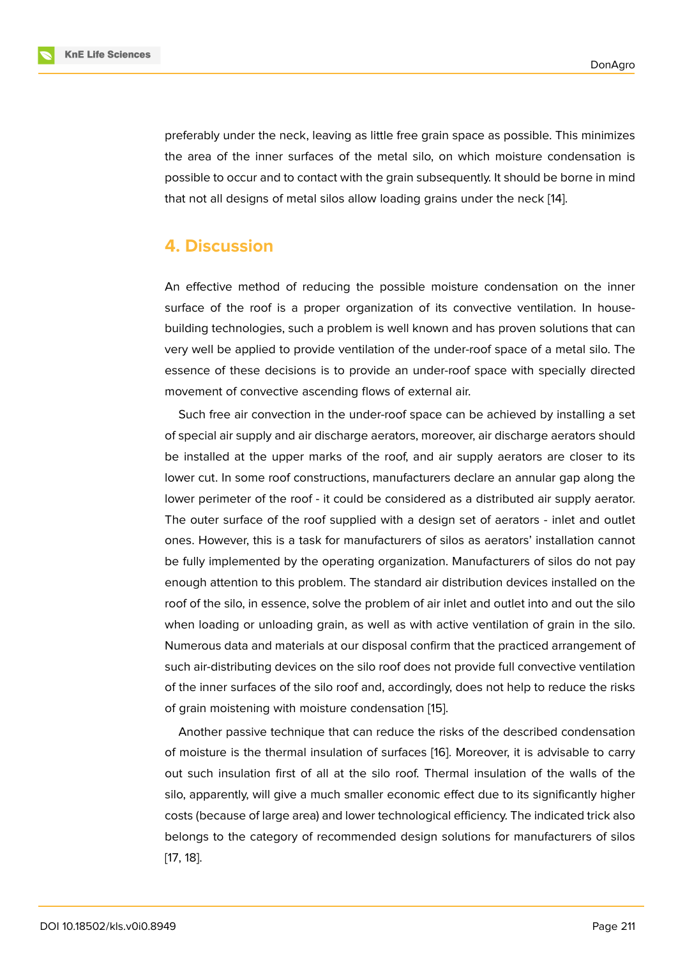preferably under the neck, leaving as little free grain space as possible. This minimizes the area of the inner surfaces of the metal silo, on which moisture condensation is possible to occur and to contact with the grain subsequently. It should be borne in mind that not all designs of metal silos allow loading grains under the neck [14].

### **4. Discussion**

An effective method of reducing the possible moisture condensation on the inner surface of the roof is a proper organization of its convective ventilation. In housebuilding technologies, such a problem is well known and has proven solutions that can very well be applied to provide ventilation of the under-roof space of a metal silo. The essence of these decisions is to provide an under-roof space with specially directed movement of convective ascending flows of external air.

Such free air convection in the under-roof space can be achieved by installing a set of special air supply and air discharge aerators, moreover, air discharge aerators should be installed at the upper marks of the roof, and air supply aerators are closer to its lower cut. In some roof constructions, manufacturers declare an annular gap along the lower perimeter of the roof - it could be considered as a distributed air supply aerator. The outer surface of the roof supplied with a design set of aerators - inlet and outlet ones. However, this is a task for manufacturers of silos as aerators' installation cannot be fully implemented by the operating organization. Manufacturers of silos do not pay enough attention to this problem. The standard air distribution devices installed on the roof of the silo, in essence, solve the problem of air inlet and outlet into and out the silo when loading or unloading grain, as well as with active ventilation of grain in the silo. Numerous data and materials at our disposal confirm that the practiced arrangement of such air-distributing devices on the silo roof does not provide full convective ventilation of the inner surfaces of the silo roof and, accordingly, does not help to reduce the risks of grain moistening with moisture condensation [15].

Another passive technique that can reduce the risks of the described condensation of moisture is the thermal insulation of surfaces [16]. Moreover, it is advisable to carry out such insulation first of all at the silo roof. [The](#page-8-0)rmal insulation of the walls of the silo, apparently, will give a much smaller economic effect due to its significantly higher costs (because of large area) and lower technolog[ica](#page-8-1)l efficiency. The indicated trick also belongs to the category of recommended design solutions for manufacturers of silos [17, 18].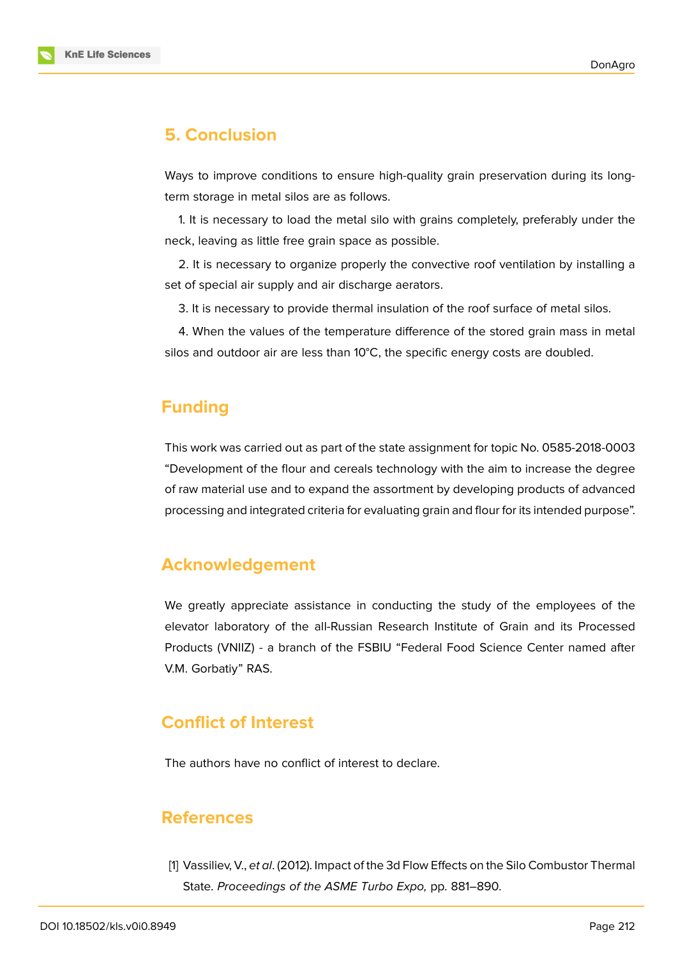

# **5. Conclusion**

Ways to improve conditions to ensure high-quality grain preservation during its longterm storage in metal silos are as follows.

1. It is necessary to load the metal silo with grains completely, preferably under the neck, leaving as little free grain space as possible.

2. It is necessary to organize properly the convective roof ventilation by installing a set of special air supply and air discharge aerators.

3. It is necessary to provide thermal insulation of the roof surface of metal silos.

4. When the values of the temperature difference of the stored grain mass in metal silos and outdoor air are less than 10°C, the specific energy costs are doubled.

# **Funding**

This work was carried out as part of the state assignment for topic No. 0585-2018-0003 "Development of the flour and cereals technology with the aim to increase the degree of raw material use and to expand the assortment by developing products of advanced processing and integrated criteria for evaluating grain and flour for its intended purpose".

### **Acknowledgement**

We greatly appreciate assistance in conducting the study of the employees of the elevator laboratory of the all-Russian Research Institute of Grain and its Processed Products (VNIIZ) - a branch of the FSBIU "Federal Food Science Center named after V.M. Gorbatiy" RAS.

# **Conflict of Interest**

The authors have no conflict of interest to declare.

### **References**

<span id="page-6-0"></span>[1] Vassiliev, V., *et al*. (2012). Impact of the 3d Flow Effects on the Silo Combustor Thermal State. *Proceedings of the ASME Turbo Expo,* pp. 881–890.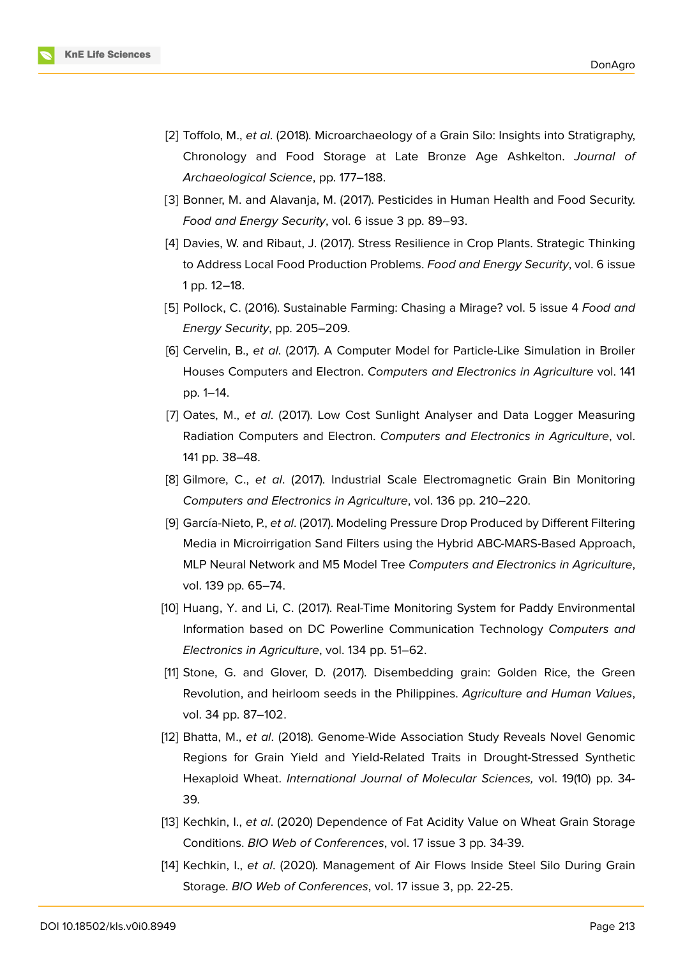

- <span id="page-7-0"></span>[2] Toffolo, M., *et al*. (2018). Microarchaeology of a Grain Silo: Insights into Stratigraphy, Chronology and Food Storage at Late Bronze Age Ashkelton. *Journal of Archaeological Science*, pp. 177–188.
- <span id="page-7-1"></span>[3] Bonner, M. and Alavanja, M. (2017). Pesticides in Human Health and Food Security. *Food and Energy Security*, vol. 6 issue 3 pp. 89–93.
- <span id="page-7-2"></span>[4] Davies, W. and Ribaut, J. (2017). Stress Resilience in Crop Plants. Strategic Thinking to Address Local Food Production Problems. *Food and Energy Security*, vol. 6 issue 1 pp. 12–18.
- <span id="page-7-3"></span>[5] Pollock, C. (2016). Sustainable Farming: Chasing a Mirage? vol. 5 issue 4 *Food and Energy Security*, pp. 205–209.
- <span id="page-7-4"></span>[6] Cervelin, B., *et al*. (2017). A Computer Model for Particle-Like Simulation in Broiler Houses Computers and Electron. *Computers and Electronics in Agriculture* vol. 141 pp. 1–14.
- [7] Oates, M., *et al*. (2017). Low Cost Sunlight Analyser and Data Logger Measuring Radiation Computers and Electron. *Computers and Electronics in Agriculture*, vol. 141 pp. 38–48.
- [8] Gilmore, C., *et al*. (2017). Industrial Scale Electromagnetic Grain Bin Monitoring *Computers and Electronics in Agriculture*, vol. 136 pp. 210–220.
- <span id="page-7-5"></span>[9] García-Nieto, P., *et al*. (2017). Modeling Pressure Drop Produced by Different Filtering Media in Microirrigation Sand Filters using the Hybrid ABC-MARS-Based Approach, MLP Neural Network and M5 Model Tree *Computers and Electronics in Agriculture*, vol. 139 pp. 65–74.
- <span id="page-7-6"></span>[10] Huang, Y. and Li, C. (2017). Real-Time Monitoring System for Paddy Environmental Information based on DC Powerline Communication Technology *Computers and Electronics in Agriculture*, vol. 134 pp. 51–62.
- [11] Stone, G. and Glover, D. (2017). Disembedding grain: Golden Rice, the Green Revolution, and heirloom seeds in the Philippines. *Agriculture and Human Values*, vol. 34 pp. 87–102.
- <span id="page-7-7"></span>[12] Bhatta, M., *et al*. (2018). Genome-Wide Association Study Reveals Novel Genomic Regions for Grain Yield and Yield-Related Traits in Drought-Stressed Synthetic Hexaploid Wheat. *International Journal of Molecular Sciences,* vol. 19(10) pp. 34- 39.
- <span id="page-7-8"></span>[13] Kechkin, I., *et al*. (2020) Dependence of Fat Acidity Value on Wheat Grain Storage Conditions. *BIO Web of Conferences*, vol. 17 issue 3 pp. 34-39.
- [14] Kechkin, I., *et al*. (2020). Management of Air Flows Inside Steel Silo During Grain Storage. *BIO Web of Conferences*, vol. 17 issue 3, pp. 22-25.